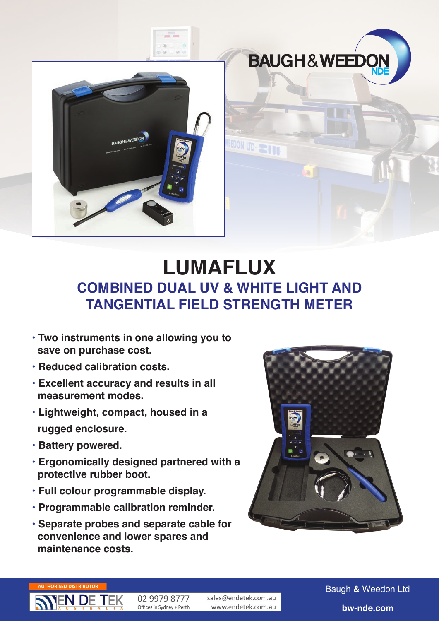



## **COMBINED DUAL UV & WHITE LIGHT AND TANGENTIAL FIELD STRENGTH METER LUMAFLUX**

EEDON LTD

- **• Two instruments in one allowing you to save on purchase cost.**
- **• Reduced calibration costs.**
- **• Excellent accuracy and results in all measurement modes.**
- **• Lightweight, compact, housed in a rugged enclosure.**
- **• Battery powered.**
- **• Ergonomically designed partnered with a protective rubber boot.**
- **• Full colour programmable display.**
- **• Programmable calibration reminder.**
- **• Separate probes and separate cable for convenience and lower spares and maintenance costs.**



**BAUGH&WEEDC** 



02 9979 8777 Offices in Sydney + Perth sales@endetek.com.au www.endetek.com.au Baugh **&** Weedon Ltd **bw-nde.com**